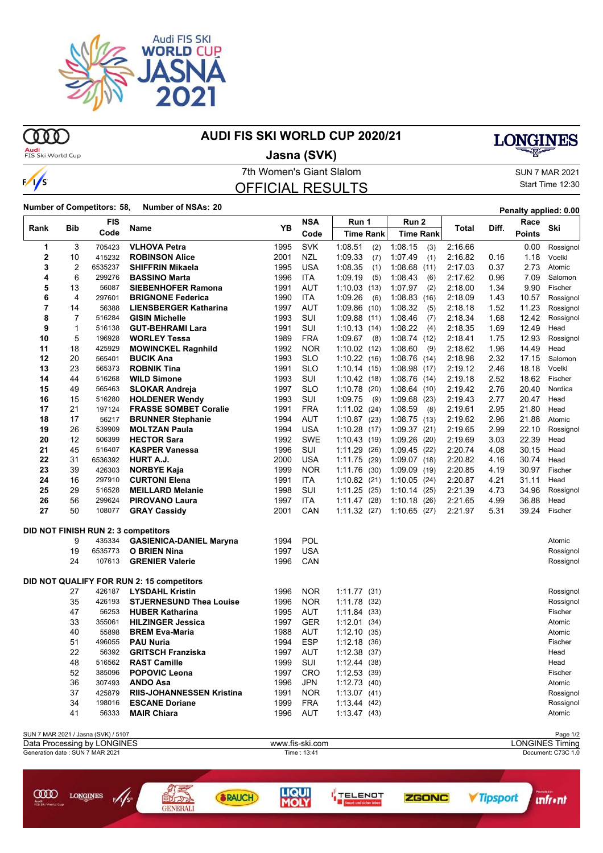

 $\omega$ 

ന്ത

 $\frac{1}{s}$ 

### **AUDI FIS SKI WORLD CUP 2020/21**

## **Audi**<br>FIS Ski World Cup

### **Jasna (SVK)**

# **LONGINES**

OFFICIAL RESULTS

#### 7th Women's Giant Slalom Sun 7 MAR 2021 Start Time 12:30

### **Number of Competitors: 58, Number of NSAs: <sup>20</sup> Penalty applied: 0.00**

| Rank           | Bib              | <b>FIS</b>                          | Name                                       | <b>YB</b> | <b>NSA</b><br>Code | Run 1            | Run 2            | <b>Total</b> |       | Race          | Ski       |
|----------------|------------------|-------------------------------------|--------------------------------------------|-----------|--------------------|------------------|------------------|--------------|-------|---------------|-----------|
|                |                  | Code                                |                                            |           |                    | <b>Time Rank</b> | <b>Time Rank</b> |              | Diff. | <b>Points</b> |           |
| 1              | 3                | 705423                              | <b>VLHOVA Petra</b>                        | 1995      | <b>SVK</b>         | 1:08.51<br>(2)   | 1:08.15<br>(3)   | 2:16.66      |       | 0.00          | Rossignol |
| 2              | 10               | 415232                              | <b>ROBINSON Alice</b>                      | 2001      | <b>NZL</b>         | 1:09.33<br>(7)   | 1:07.49<br>(1)   | 2:16.82      | 0.16  | 1.18          | Voelkl    |
| 3              | $\boldsymbol{2}$ | 6535237                             | <b>SHIFFRIN Mikaela</b>                    | 1995      | <b>USA</b>         | 1:08.35<br>(1)   | 1:08.68(11)      | 2:17.03      | 0.37  | 2.73          | Atomic    |
| 4              | 6                | 299276                              | <b>BASSINO Marta</b>                       | 1996      | <b>ITA</b>         | 1:09.19<br>(5)   | 1:08.43<br>(6)   | 2:17.62      | 0.96  | 7.09          | Salomon   |
| 5              | 13               | 56087                               | <b>SIEBENHOFER Ramona</b>                  | 1991      | <b>AUT</b>         | 1:10.03(13)      | 1:07.97<br>(2)   | 2:18.00      | 1.34  | 9.90          | Fischer   |
| 6              | 4                | 297601                              | <b>BRIGNONE Federica</b>                   | 1990      | <b>ITA</b>         | 1:09.26<br>(6)   | 1:08.83<br>(16)  | 2:18.09      | 1.43  | 10.57         | Rossignol |
| $\overline{7}$ | 14               | 56388                               | <b>LIENSBERGER Katharina</b>               | 1997      | <b>AUT</b>         | 1:09.86<br>(10)  | 1:08.32<br>(5)   | 2:18.18      | 1.52  | 11.23         | Rossignol |
| 8              | 7                | 516284                              | <b>GISIN Michelle</b>                      | 1993      | SUI                | 1:09.88(11)      | 1:08.46<br>(7)   | 2:18.34      | 1.68  | 12.42         | Rossignol |
| 9              | $\mathbf{1}$     | 516138                              | <b>GUT-BEHRAMI Lara</b>                    | 1991      | SUI                | 1:10.13<br>(14)  | 1:08.22<br>(4)   | 2:18.35      | 1.69  | 12.49         | Head      |
| 10             | 5                | 196928                              | <b>WORLEY Tessa</b>                        | 1989      | <b>FRA</b>         | 1:09.67<br>(8)   | 1:08.74(12)      | 2:18.41      | 1.75  | 12.93         | Rossignol |
| 11             | 18               | 425929                              | <b>MOWINCKEL Ragnhild</b>                  | 1992      | <b>NOR</b>         | 1:10.02<br>(12)  | 1:08.60<br>(9)   | 2:18.62      | 1.96  | 14.49         | Head      |
| 12             | 20               | 565401                              | <b>BUCIK Ana</b>                           | 1993      | <b>SLO</b>         | 1:10.22<br>(16)  | 1:08.76(14)      | 2:18.98      | 2.32  | 17.15         | Salomon   |
| 13             | 23               | 565373                              | <b>ROBNIK Tina</b>                         | 1991      | <b>SLO</b>         | 1:10.14(15)      | 1:08.98(17)      | 2:19.12      | 2.46  | 18.18         | Voelkl    |
| 14             | 44               | 516268                              | <b>WILD Simone</b>                         | 1993      | SUI                | 1:10.42(18)      | 1:08.76(14)      | 2:19.18      | 2.52  | 18.62         | Fischer   |
| 15             | 49               | 565463                              | <b>SLOKAR Andreja</b>                      | 1997      | <b>SLO</b>         | 1:10.78<br>(20)  | 1.08.64(10)      | 2:19.42      | 2.76  | 20.40         | Nordica   |
| 16             | 15               | 516280                              | <b>HOLDENER Wendy</b>                      | 1993      | SUI                | 1:09.75<br>(9)   | 1:09.68(23)      | 2:19.43      | 2.77  | 20.47         | Head      |
| 17             | 21               | 197124                              | <b>FRASSE SOMBET Coralie</b>               | 1991      | <b>FRA</b>         | 1:11.02(24)      | 1:08.59<br>(8)   | 2:19.61      | 2.95  | 21.80         | Head      |
| 18             | 17               | 56217                               | <b>BRUNNER Stephanie</b>                   | 1994      | <b>AUT</b>         | 1:10.87<br>(23)  | 1:08.75(13)      | 2:19.62      | 2.96  | 21.88         | Atomic    |
| 19             | 26               | 539909                              | <b>MOLTZAN Paula</b>                       | 1994      | <b>USA</b>         | 1:10.28<br>(17)  | 1:09.37(21)      | 2:19.65      | 2.99  | 22.10         | Rossignol |
| 20             | 12               | 506399                              | <b>HECTOR Sara</b>                         | 1992      | SWE                | 1:10.43<br>(19)  | 1:09.26(20)      | 2:19.69      | 3.03  | 22.39         | Head      |
| 21             | 45               | 516407                              | <b>KASPER Vanessa</b>                      | 1996      | SUI                | 1:11.29<br>(26)  | 1:09.45(22)      | 2:20.74      | 4.08  | 30.15         | Head      |
| 22             | 31               | 6536392                             | HURT A.J.                                  | 2000      | USA                | 1:11.75<br>(29)  | 1:09.07(18)      | 2:20.82      | 4.16  | 30.74         | Head      |
| 23             | 39               | 426303                              | <b>NORBYE Kaja</b>                         | 1999      | <b>NOR</b>         | 1:11.76<br>(30)  | 1:09.09(19)      | 2:20.85      | 4.19  | 30.97         | Fischer   |
| 24             | 16               | 297910                              | <b>CURTONI Elena</b>                       | 1991      | <b>ITA</b>         | 1:10.82<br>(21)  | 1:10.05(24)      | 2:20.87      | 4.21  | 31.11         | Head      |
| 25             | 29               | 516528                              | <b>MEILLARD Melanie</b>                    | 1998      | SUI                | 1:11.25<br>(25)  | 1:10.14(25)      | 2:21.39      | 4.73  | 34.96         | Rossignol |
| 26             | 56               | 299624                              | <b>PIROVANO Laura</b>                      | 1997      | <b>ITA</b>         | 1.11.47<br>(28)  | 1:10.18(26)      | 2:21.65      | 4.99  | 36.88         | Head      |
| 27             | 50               | 108077                              | <b>GRAY Cassidy</b>                        | 2001      | CAN                | 1:11.32(27)      | 1:10.65(27)      | 2:21.97      | 5.31  | 39.24         | Fischer   |
|                |                  |                                     | <b>DID NOT FINISH RUN 2: 3 competitors</b> |           |                    |                  |                  |              |       |               |           |
|                | 9                | 435334                              | <b>GASIENICA-DANIEL Maryna</b>             | 1994      | POL                |                  |                  |              |       |               | Atomic    |
|                | 19               | 6535773                             | <b>O BRIEN Nina</b>                        | 1997      | USA                |                  |                  |              |       |               | Rossignol |
|                | 24               | 107613                              | <b>GRENIER Valerie</b>                     | 1996      | CAN                |                  |                  |              |       |               | Rossignol |
|                |                  |                                     | DID NOT QUALIFY FOR RUN 2: 15 competitors  |           |                    |                  |                  |              |       |               |           |
|                | 27               | 426187                              | <b>LYSDAHL Kristin</b>                     | 1996      | <b>NOR</b>         | 1:11.77(31)      |                  |              |       |               | Rossignol |
|                | 35               | 426193                              | <b>STJERNESUND Thea Louise</b>             | 1996      | <b>NOR</b>         | 1:11.78<br>(32)  |                  |              |       |               | Rossignol |
|                | 47               | 56253                               | <b>HUBER Katharina</b>                     | 1995      | <b>AUT</b>         | 1:11.84 (33)     |                  |              |       |               | Fischer   |
|                | 33               | 355061                              | <b>HILZINGER Jessica</b>                   | 1997      | <b>GER</b>         | 1:12.01<br>(34)  |                  |              |       |               | Atomic    |
|                | 40               | 55898                               | <b>BREM Eva-Maria</b>                      | 1988      | AUT                | 1:12.10(35)      |                  |              |       |               | Atomic    |
|                | 51               | 496055                              | <b>PAU Nuria</b>                           | 1994      | ESP                | 1:12.18<br>(36)  |                  |              |       |               | Fischer   |
|                | 22               | 56392                               | <b>GRITSCH Franziska</b>                   | 1997      | <b>AUT</b>         | 1:12.38<br>(37)  |                  |              |       |               | Head      |
|                | 48               | 516562                              | <b>RAST Camille</b>                        | 1999      | SUI                | 1:12.44(38)      |                  |              |       |               | Head      |
|                | 52               | 385096                              | <b>POPOVIC Leona</b>                       | 1997      | <b>CRO</b>         | 1:12.53(39)      |                  |              |       |               | Fischer   |
|                | 36               | 307493                              | <b>ANDO Asa</b>                            | 1996      | <b>JPN</b>         | 1:12.73(40)      |                  |              |       |               | Atomic    |
|                | 37               | 425879                              | <b>RIIS-JOHANNESSEN Kristina</b>           | 1991      | <b>NOR</b>         | 1:13.07(41)      |                  |              |       |               | Rossignol |
|                | 34               | 198016                              | <b>ESCANE Doriane</b>                      | 1999      | <b>FRA</b>         | 1:13.44(42)      |                  |              |       |               | Rossignol |
|                | 41               | 56333                               | <b>MAIR Chiara</b>                         | 1996      | <b>AUT</b>         | 1:13.47(43)      |                  |              |       |               | Atomic    |
|                |                  |                                     |                                            |           |                    |                  |                  |              |       |               |           |
|                |                  | SUN 7 MAR 2021 / Jasna (SVK) / 5107 |                                            |           |                    |                  |                  |              |       |               | Page 1/2  |







**YTipsport** 

**unfront**